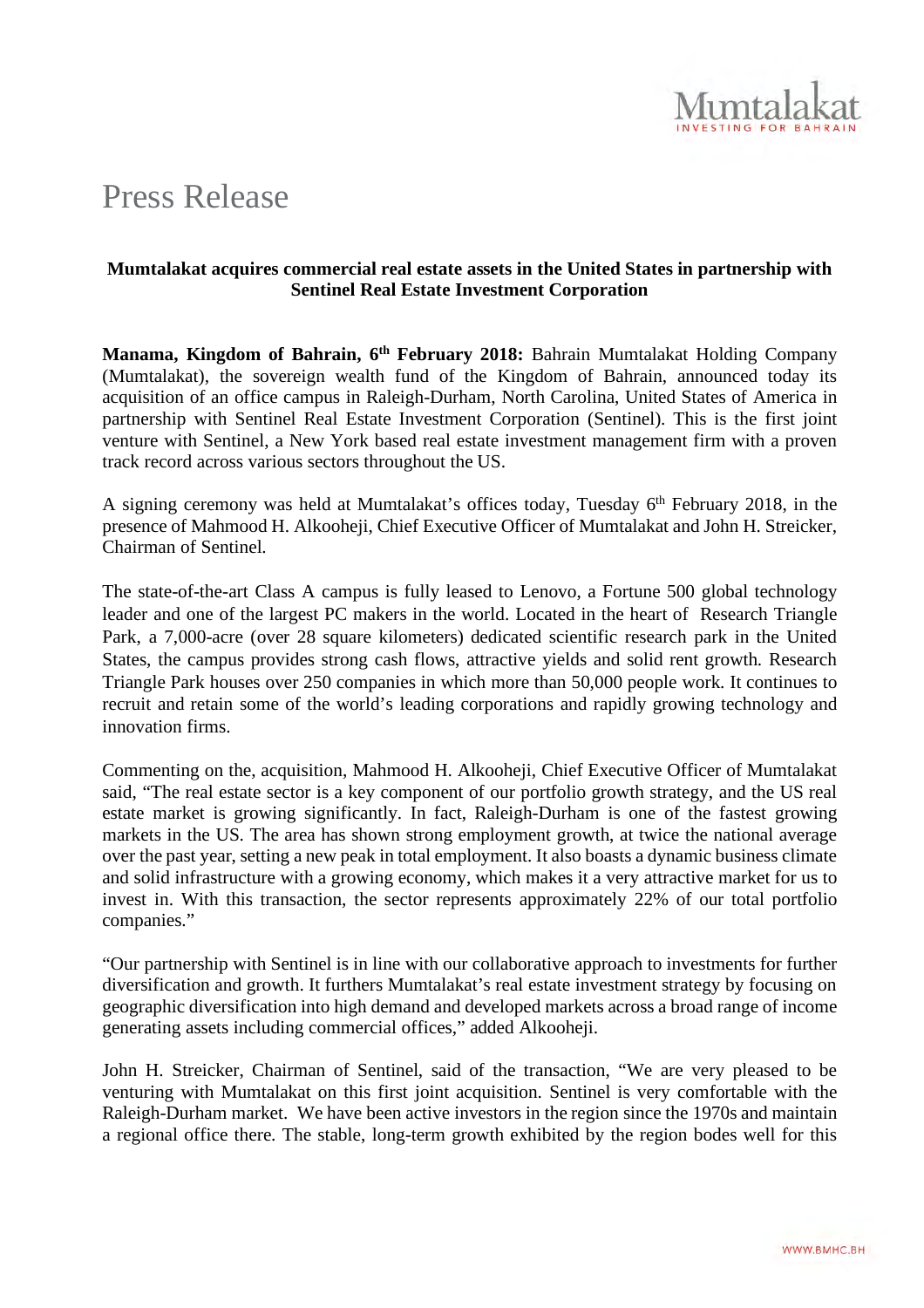

# Press Release

## **Mumtalakat acquires commercial real estate assets in the United States in partnership with Sentinel Real Estate Investment Corporation**

**Manama, Kingdom of Bahrain, 6th February 2018:** Bahrain Mumtalakat Holding Company (Mumtalakat), the sovereign wealth fund of the Kingdom of Bahrain, announced today its acquisition of an office campus in Raleigh-Durham, North Carolina, United States of America in partnership with Sentinel Real Estate Investment Corporation (Sentinel). This is the first joint venture with Sentinel, a New York based real estate investment management firm with a proven track record across various sectors throughout the US.

A signing ceremony was held at Mumtalakat's offices today, Tuesday 6th February 2018, in the presence of Mahmood H. Alkooheji, Chief Executive Officer of Mumtalakat and John H. Streicker, Chairman of Sentinel.

The state-of-the-art Class A campus is fully leased to Lenovo, a Fortune 500 global technology leader and one of the largest PC makers in the world. Located in the heart of Research Triangle Park, a 7,000-acre (over 28 square kilometers) dedicated scientific research park in the United States, the campus provides strong cash flows, attractive yields and solid rent growth. Research Triangle Park houses over 250 companies in which more than 50,000 people work. It continues to recruit and retain some of the world's leading corporations and rapidly growing technology and innovation firms.

Commenting on the, acquisition, Mahmood H. Alkooheji, Chief Executive Officer of Mumtalakat said, "The real estate sector is a key component of our portfolio growth strategy, and the US real estate market is growing significantly. In fact, Raleigh-Durham is one of the fastest growing markets in the US. The area has shown strong employment growth, at twice the national average over the past year, setting a new peak in total employment. It also boasts a dynamic business climate and solid infrastructure with a growing economy, which makes it a very attractive market for us to invest in. With this transaction, the sector represents approximately 22% of our total portfolio companies."

"Our partnership with Sentinel is in line with our collaborative approach to investments for further diversification and growth. It furthers Mumtalakat's real estate investment strategy by focusing on geographic diversification into high demand and developed markets across a broad range of income generating assets including commercial offices," added Alkooheji.

John H. Streicker, Chairman of Sentinel, said of the transaction, "We are very pleased to be venturing with Mumtalakat on this first joint acquisition. Sentinel is very comfortable with the Raleigh-Durham market. We have been active investors in the region since the 1970s and maintain a regional office there. The stable, long-term growth exhibited by the region bodes well for this